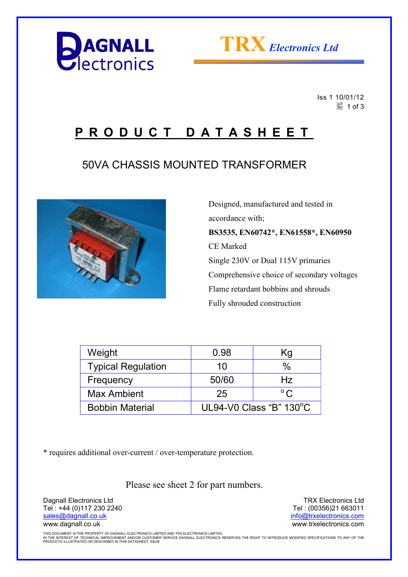



 Iss 1 10/01/12  $\equiv$  1 of 3

## **P R O D U C T D A T A S H E E T**

## 50VA CHASSIS MOUNTED TRANSFORMER



 Designed, manufactured and tested in accordance with; **BS3535, EN60742\*, EN61558\*, EN60950**  CE Marked Single 230V or Dual 115V primaries Comprehensive choice of secondary voltages Flame retardant bobbins and shrouds Fully shrouded construction

| Weight                    | 0.98                    | Κg            |  |
|---------------------------|-------------------------|---------------|--|
| <b>Typical Regulation</b> | 10                      | $\frac{0}{0}$ |  |
| Frequency                 | 50/60                   | Hz            |  |
| <b>Max Ambient</b>        | 25                      | $^{\circ}$ C. |  |
| <b>Bobbin Material</b>    | UL94-V0 Class "B" 130°C |               |  |

\* requires additional over-current / over-temperature protection.

Please see sheet 2 for part numbers.

Dagnall Electronics Ltd Tel : +44 (0)117 230 2240 sales@dagnall.co.uk www.dagnall.co.uk

TRX Electronics Ltd Tel : (00356)21 663011 info@trxelectronics.com www.trxelectronics.com

THIS DOCUMENT IS THE PROPERTY OF DAGNALL ELECTRONICS LIMITED AND TRX ELECTRONICS LIMITED.<br>IN THE INTEREST OF TECHNICAL IMPROVEMENT AND/OR CUSTOMER SERVICE DAGNALL ELECTRONICS RESERVES THE RIGHT TO INTRODUCE MODIFIED SPECIF PRODUCTS ILLUSTRATED OR DESCRIBED IN THIS DATASHEET. E&OE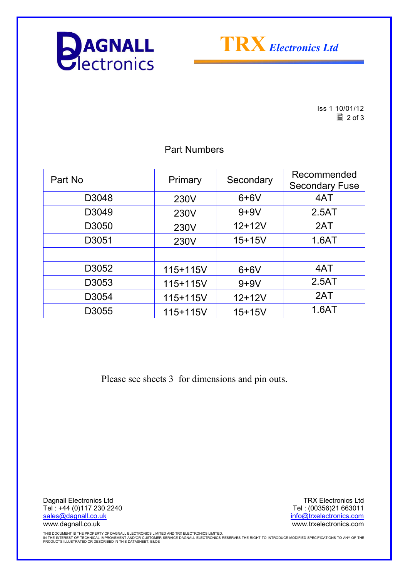



Iss 1 10/01/12  $\boxed{2}$  of 3

| Part No | Primary  | Secondary  | Recommended<br><b>Secondary Fuse</b> |
|---------|----------|------------|--------------------------------------|
| D3048   | 230V     | $6+6V$     | 4AT                                  |
| D3049   | 230V     | $9+9V$     | 2.5AT                                |
| D3050   | 230V     | $12+12V$   | 2AT                                  |
| D3051   | 230V     | $15 + 15V$ | 1.6AT                                |
|         |          |            |                                      |
| D3052   | 115+115V | $6+6V$     | 4AT                                  |
| D3053   | 115+115V | $9+9V$     | 2.5AT                                |
| D3054   | 115+115V | $12 + 12V$ | 2AT                                  |
| D3055   | 115+115V | $15 + 15V$ | 1.6AT                                |

Part Numbers

Please see sheets 3 for dimensions and pin outs.

Dagnall Electronics Ltd Tel : +44 (0)117 230 2240 sales@dagnall.co.uk www.dagnall.co.uk

TRX Electronics Ltd Tel : (00356)21 663011 info@trxelectronics.com www.trxelectronics.com

THIS DOCUMENT IS THE PROPERTY OF DAGNALL ELECTRONICS LIMITED AND TRX ELECTRONICS LIMITED.<br>IN THE INTEREST OF TECHNICAL IMPROVEMENT AND/OR CUSTOMER SERVICE DAGNALL ELECTRONICS RESERVES THE RIGHT TO INTRODUCE MODIFIED SPECIF